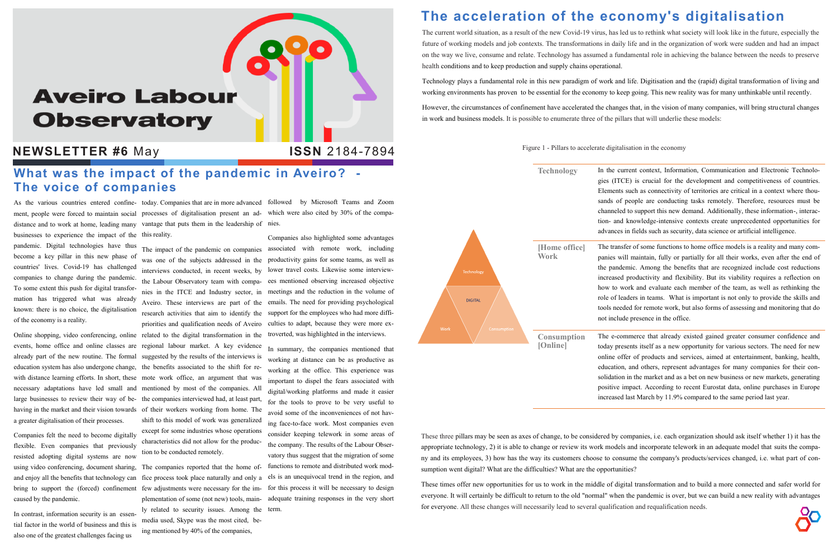# **Aveiro Labour Observatory**

### **NEWSLETTER #6** May **ISSN** 2184-7894 Figure 1 - Pillars to accelerate digitalisation in the economy

distance and to work at home, leading many businesses to experience the impact of the this reality. pandemic. Digital technologies have thus become a key pillar in this new phase of countries' lives. Covid-19 has challenged companies to change during the pandemic. To some extent this push for digital transformation has triggered what was already known: there is no choice, the digitalisation of the economy is a reality.

events, home office and online classes are already part of the new routine. The formal education system has also undergone change, with distance learning efforts. In short, these mote work office, an argument that was necessary adaptations have led small and large businesses to review their way of behaving in the market and their vision towards a greater digitalisation of their processes.

Companies felt the need to become digitally flexible. Even companies that previously resisted adopting digital systems are now using video conferencing, document sharing, and enjoy all the benefits that technology can caused by the pandemic.

Online shopping, video conferencing, online related to the digital transformation in the troverted, was highlighted in the interviews. regional labour market. A key evidence suggested by the results of the interviews is the benefits associated to the shift for rementioned by most of the companies. All the companies interviewed had, at least part, of their workers working from home. The shift to this model of work was generalized except for some industries whose operations characteristics did not allow for the production to be conducted remotely.

In contrast, information security is an essential factor in the world of business and this is also one of the greatest challenges facing us

As the various countries entered confine-today. Companies that are in more advanced followed by Microsoft Teams and Zoom

ment, people were forced to maintain social processes of digitalisation present an ad-which were also cited by 30% of the compavantage that puts them in the leadership of nies.

The impact of the pandemic on companies associated with remote work, including was one of the subjects addressed in the productivity gains for some teams, as well as interviews conducted, in recent weeks, by lower travel costs. Likewise some interviewthe Labour Observatory team with compa-ees mentioned observing increased objective nies in the ITCE and Industry sector, in meetings and the reduction in the volume of Aveiro. These interviews are part of the emails. The need for providing psychological research activities that aim to identify the support for the employees who had more diffipriorities and qualification needs of Aveiro culties to adapt, because they were more ex-Companies also highlighted some advantages

The companies reported that the home office process took place naturally and only a plementation of some (not new) tools, mainly related to security issues. Among the term. media used, Skype was the most cited, being mentioned by 40% of the companies,

bring to support the (forced) confinement few adjustments were necessary for the im-for this process it will be necessary to design In summary, the companies mentioned that working at distance can be as productive as working at the office. This experience was important to dispel the fears associated with digital/working platforms and made it easier for the tools to prove to be very useful to avoid some of the inconveniences of not having face-to-face work. Most companies even consider keeping telework in some areas of the company. The results of the Labour Observatory thus suggest that the migration of some functions to remote and distributed work models is an unequivocal trend in the region, and adequate training responses in the very short

Technology In the current context, Information, Communication and Electronic Technologies (ITCE) is crucial for the development and competitiveness of countries. Elements such as connectivity of territories are critical in a context where thousands of people are conducting tasks remotely. Therefore, resources must be channeled to support this new demand. Additionally, these information-, interaction- and knowledge-intensive contexts create unprecedented opportunities for advances in fields such as security, data science or artificial intelligence.

## **The acceleration of the economy's digitalisation**

The current world situation, as a result of the new Covid-19 virus, has led us to rethink what society will look like in the future, especially the future of working models and job contexts. The transformations in daily life and in the organization of work were sudden and had an impact on the way we live, consume and relate. Technology has assumed a fundamental role in achieving the balance between the needs to preserve health conditions and to keep production and supply chains operational.

Technology plays a fundamental role in this new paradigm of work and life. Digitisation and the (rapid) digital transformation of living and working environments has proven to be essential for the economy to keep going. This new reality was for many unthinkable until recently.

However, the circumstances of confinement have accelerated the changes that, in the vision of many companies, will bring structural changes in work and business models. It is possible to enumerate three of the pillars that will underlie these models:

### **What was the impact of the pandemic in Aveiro? - The voice of companies**

These three pillars may be seen as axes of change, to be considered by companies, i.e. each organization should ask itself whether 1) it has the appropriate technology, 2) it is able to change or review its work models and incorporate telework in an adequate model that suits the company and its employees, 3) how has the way its customers choose to consume the company's products/services changed, i.e. what part of consumption went digital? What are the difficulties? What are the opportunities?

These times offer new opportunities for us to work in the middle of digital transformation and to build a more connected and safer world for everyone. It will certainly be difficult to return to the old "normal" when the pandemic is over, but we can build a new reality with advantages for everyone. All these changes will necessarily lead to several qualification and requalification needs.

The transfer of some functions to home office models is a reality and many companies will maintain, fully or partially for all their works, even after the end of the pandemic. Among the benefits that are recognized include cost reductions increased productivity and flexibility. But its viability requires a reflection on how to work and evaluate each member of the team, as well as rethinking the role of leaders in teams. What is important is not only to provide the skills and tools needed for remote work, but also forms of assessing and monitoring that do not include presence in the office.



The e-commerce that already existed gained greater consumer confidence and today presents itself as a new opportunity for various sectors. The need for new online offer of products and services, aimed at entertainment, banking, health, education, and others, represent advantages for many companies for their consolidation in the market and as a bet on new business or new markets, generating positive impact. According to recent Eurostat data, online purchases in Europe increased last March by 11.9% compared to the same period last year.



**ISSN** 2184-7894